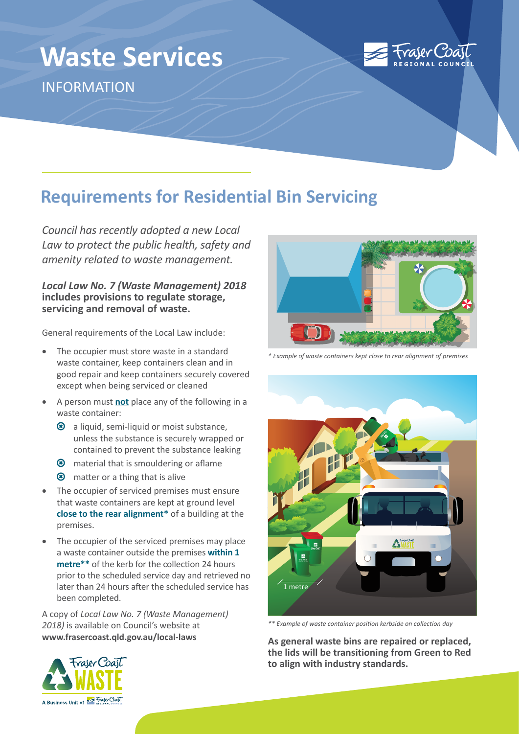# **Waste Services** INFORMATION



## **Requirements for Residential Bin Servicing**

*Council has recently adopted a new Local Law to protect the public health, safety and amenity related to waste management.*

#### *Local Law No. 7 (Waste Management) 2018*  **includes provisions to regulate storage, servicing and removal of waste.**

General requirements of the Local Law include:

- The occupier must store waste in a standard waste container, keep containers clean and in good repair and keep containers securely covered except when being serviced or cleaned
- A person must **not** place any of the following in a waste container:
	- **8** a liquid, semi-liquid or moist substance, unless the substance is securely wrapped or contained to prevent the substance leaking
	- **8** material that is smouldering or aflame
	- $\circledast$  matter or a thing that is alive
- The occupier of serviced premises must ensure that waste containers are kept at ground level **close to the rear alignment\*** of a building at the premises.
- The occupier of the serviced premises may place a waste container outside the premises **within 1 metre\*\*** of the kerb for the collection 24 hours prior to the scheduled service day and retrieved no later than 24 hours after the scheduled service has been completed.

A copy of *Local Law No. 7 (Waste Management) 2018)* is available on Council's website at **[www.frasercoast.qld.gov.au/local-laws](https://www.frasercoast.qld.gov.au/local-laws)**



*\* Example of waste containers kept close to rear alignment of premises*



*\*\* Example of waste container position kerbside on collection day*

**As general waste bins are repaired or replaced, the lids will be transitioning from Green to Red to align with industry standards.**